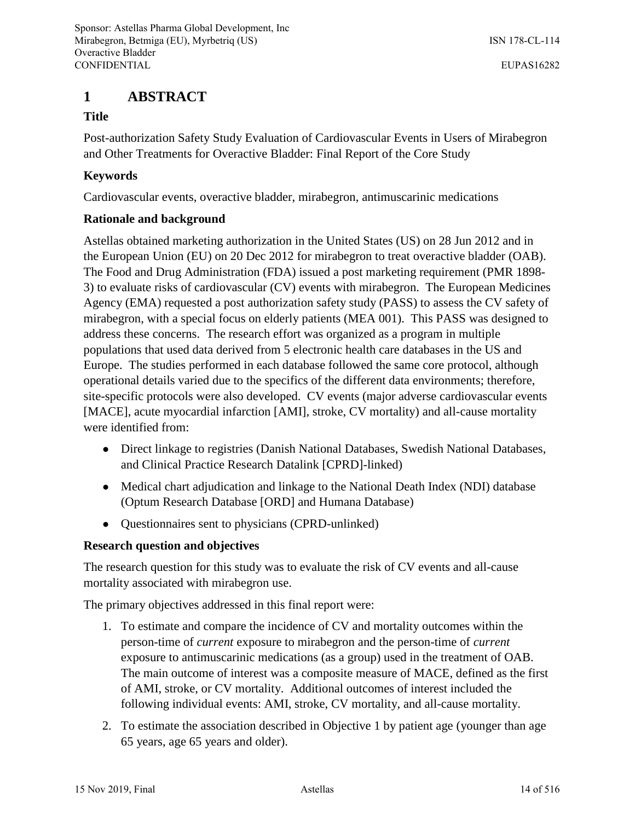# **1 ABSTRACT**

# **Title**

Post-authorization Safety Study Evaluation of Cardiovascular Events in Users of Mirabegron and Other Treatments for Overactive Bladder: Final Report of the Core Study

# **Keywords**

Cardiovascular events, overactive bladder, mirabegron, antimuscarinic medications

# **Rationale and background**

Astellas obtained marketing authorization in the United States (US) on 28 Jun 2012 and in the European Union (EU) on 20 Dec 2012 for mirabegron to treat overactive bladder (OAB). The Food and Drug Administration (FDA) issued a post marketing requirement (PMR 1898- 3) to evaluate risks of cardiovascular (CV) events with mirabegron. The European Medicines Agency (EMA) requested a post authorization safety study (PASS) to assess the CV safety of mirabegron, with a special focus on elderly patients (MEA 001). This PASS was designed to address these concerns. The research effort was organized as a program in multiple populations that used data derived from 5 electronic health care databases in the US and Europe. The studies performed in each database followed the same core protocol, although operational details varied due to the specifics of the different data environments; therefore, site-specific protocols were also developed. CV events (major adverse cardiovascular events [MACE], acute myocardial infarction [AMI], stroke, CV mortality) and all-cause mortality were identified from:

- Direct linkage to registries (Danish National Databases, Swedish National Databases, and Clinical Practice Research Datalink [CPRD]-linked)
- Medical chart adjudication and linkage to the National Death Index (NDI) database (Optum Research Database [ORD] and Humana Database)
- Questionnaires sent to physicians (CPRD-unlinked)

# **Research question and objectives**

The research question for this study was to evaluate the risk of CV events and all-cause mortality associated with mirabegron use.

The primary objectives addressed in this final report were:

- 1. To estimate and compare the incidence of CV and mortality outcomes within the person-time of *current* exposure to mirabegron and the person-time of *current* exposure to antimuscarinic medications (as a group) used in the treatment of OAB. The main outcome of interest was a composite measure of MACE, defined as the first of AMI, stroke, or CV mortality. Additional outcomes of interest included the following individual events: AMI, stroke, CV mortality, and all-cause mortality.
- 2. To estimate the association described in Objective 1 by patient age (younger than age 65 years, age 65 years and older).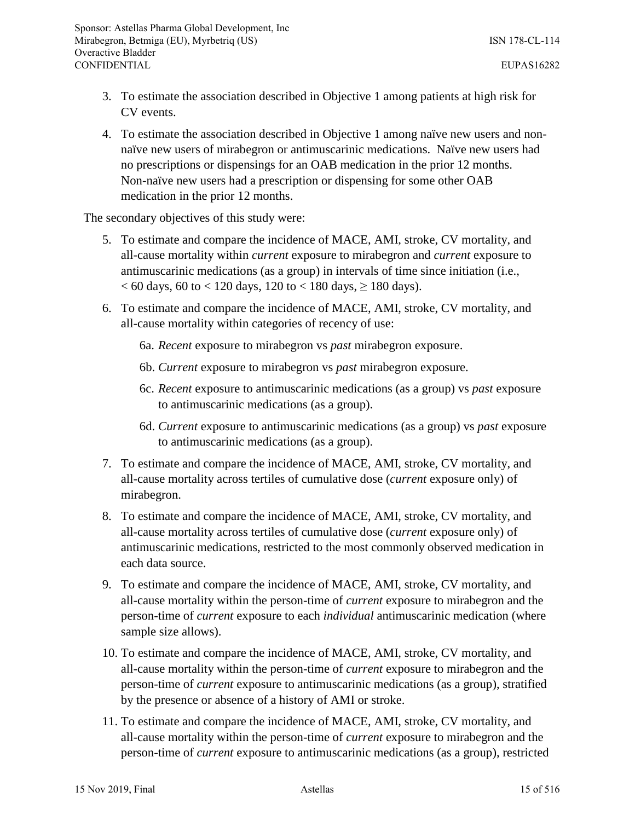- 3. To estimate the association described in Objective 1 among patients at high risk for CV events.
- 4. To estimate the association described in Objective 1 among naïve new users and nonnaïve new users of mirabegron or antimuscarinic medications. Naïve new users had no prescriptions or dispensings for an OAB medication in the prior 12 months. Non-naïve new users had a prescription or dispensing for some other OAB medication in the prior 12 months.

The secondary objectives of this study were:

- 5. To estimate and compare the incidence of MACE, AMI, stroke, CV mortality, and all-cause mortality within *current* exposure to mirabegron and *current* exposure to antimuscarinic medications (as a group) in intervals of time since initiation (i.e.,  $< 60$  days, 60 to  $< 120$  days, 120 to  $< 180$  days,  $\geq 180$  days).
- 6. To estimate and compare the incidence of MACE, AMI, stroke, CV mortality, and all-cause mortality within categories of recency of use:
	- 6a. *Recent* exposure to mirabegron vs *past* mirabegron exposure.
	- 6b. *Current* exposure to mirabegron vs *past* mirabegron exposure.
	- 6c. *Recent* exposure to antimuscarinic medications (as a group) vs *past* exposure to antimuscarinic medications (as a group).
	- 6d. *Current* exposure to antimuscarinic medications (as a group) vs *past* exposure to antimuscarinic medications (as a group).
- 7. To estimate and compare the incidence of MACE, AMI, stroke, CV mortality, and all-cause mortality across tertiles of cumulative dose (*current* exposure only) of mirabegron.
- 8. To estimate and compare the incidence of MACE, AMI, stroke, CV mortality, and all-cause mortality across tertiles of cumulative dose (*current* exposure only) of antimuscarinic medications, restricted to the most commonly observed medication in each data source.
- 9. To estimate and compare the incidence of MACE, AMI, stroke, CV mortality, and all-cause mortality within the person-time of *current* exposure to mirabegron and the person-time of *current* exposure to each *individual* antimuscarinic medication (where sample size allows).
- 10. To estimate and compare the incidence of MACE, AMI, stroke, CV mortality, and all-cause mortality within the person-time of *current* exposure to mirabegron and the person-time of *current* exposure to antimuscarinic medications (as a group), stratified by the presence or absence of a history of AMI or stroke.
- 11. To estimate and compare the incidence of MACE, AMI, stroke, CV mortality, and all-cause mortality within the person-time of *current* exposure to mirabegron and the person-time of *current* exposure to antimuscarinic medications (as a group), restricted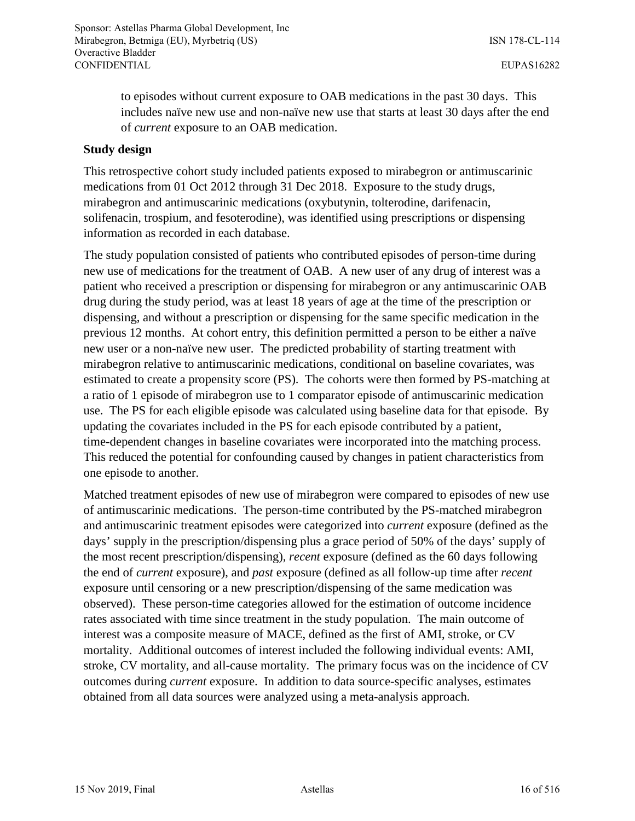to episodes without current exposure to OAB medications in the past 30 days. This includes naïve new use and non-naïve new use that starts at least 30 days after the end of *current* exposure to an OAB medication.

#### **Study design**

This retrospective cohort study included patients exposed to mirabegron or antimuscarinic medications from 01 Oct 2012 through 31 Dec 2018. Exposure to the study drugs, mirabegron and antimuscarinic medications (oxybutynin, tolterodine, darifenacin, solifenacin, trospium, and fesoterodine), was identified using prescriptions or dispensing information as recorded in each database.

The study population consisted of patients who contributed episodes of person-time during new use of medications for the treatment of OAB. A new user of any drug of interest was a patient who received a prescription or dispensing for mirabegron or any antimuscarinic OAB drug during the study period, was at least 18 years of age at the time of the prescription or dispensing, and without a prescription or dispensing for the same specific medication in the previous 12 months. At cohort entry, this definition permitted a person to be either a naïve new user or a non-naïve new user. The predicted probability of starting treatment with mirabegron relative to antimuscarinic medications, conditional on baseline covariates, was estimated to create a propensity score (PS). The cohorts were then formed by PS-matching at a ratio of 1 episode of mirabegron use to 1 comparator episode of antimuscarinic medication use. The PS for each eligible episode was calculated using baseline data for that episode. By updating the covariates included in the PS for each episode contributed by a patient, time-dependent changes in baseline covariates were incorporated into the matching process. This reduced the potential for confounding caused by changes in patient characteristics from one episode to another.

Matched treatment episodes of new use of mirabegron were compared to episodes of new use of antimuscarinic medications. The person-time contributed by the PS-matched mirabegron and antimuscarinic treatment episodes were categorized into *current* exposure (defined as the days' supply in the prescription/dispensing plus a grace period of 50% of the days' supply of the most recent prescription/dispensing)*, recent* exposure (defined as the 60 days following the end of *current* exposure), and *past* exposure (defined as all follow-up time after *recent*  exposure until censoring or a new prescription/dispensing of the same medication was observed). These person-time categories allowed for the estimation of outcome incidence rates associated with time since treatment in the study population. The main outcome of interest was a composite measure of MACE, defined as the first of AMI, stroke, or CV mortality. Additional outcomes of interest included the following individual events: AMI, stroke, CV mortality, and all-cause mortality. The primary focus was on the incidence of CV outcomes during *current* exposure. In addition to data source-specific analyses, estimates obtained from all data sources were analyzed using a meta-analysis approach.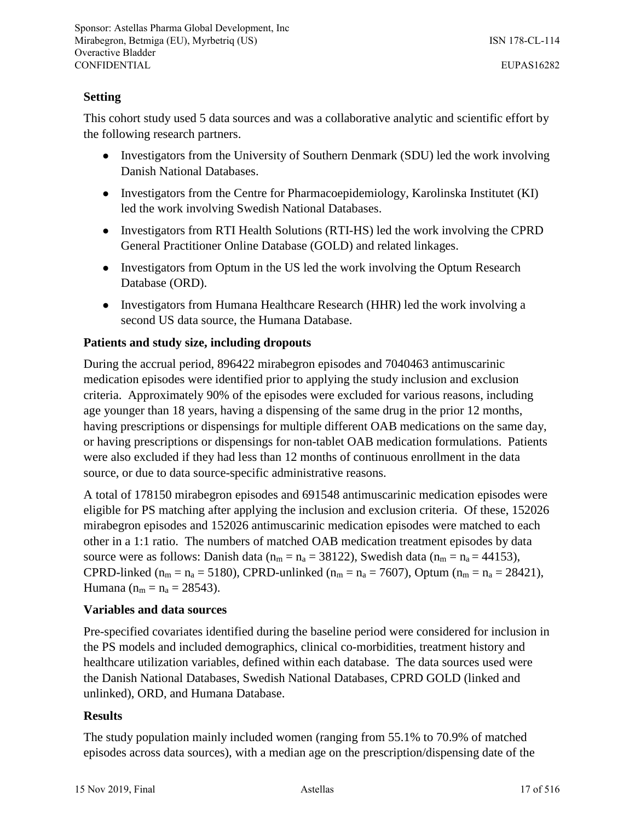### **Setting**

This cohort study used 5 data sources and was a collaborative analytic and scientific effort by the following research partners.

- Investigators from the University of Southern Denmark (SDU) led the work involving Danish National Databases.
- Investigators from the Centre for Pharmacoepidemiology, Karolinska Institutet (KI) led the work involving Swedish National Databases.
- Investigators from RTI Health Solutions (RTI-HS) led the work involving the CPRD General Practitioner Online Database (GOLD) and related linkages.
- Investigators from Optum in the US led the work involving the Optum Research Database (ORD).
- Investigators from Humana Healthcare Research (HHR) led the work involving a second US data source, the Humana Database.

# **Patients and study size, including dropouts**

During the accrual period, 896422 mirabegron episodes and 7040463 antimuscarinic medication episodes were identified prior to applying the study inclusion and exclusion criteria. Approximately 90% of the episodes were excluded for various reasons, including age younger than 18 years, having a dispensing of the same drug in the prior 12 months, having prescriptions or dispensings for multiple different OAB medications on the same day, or having prescriptions or dispensings for non-tablet OAB medication formulations. Patients were also excluded if they had less than 12 months of continuous enrollment in the data source, or due to data source-specific administrative reasons.

A total of 178150 mirabegron episodes and 691548 antimuscarinic medication episodes were eligible for PS matching after applying the inclusion and exclusion criteria. Of these, 152026 mirabegron episodes and 152026 antimuscarinic medication episodes were matched to each other in a 1:1 ratio. The numbers of matched OAB medication treatment episodes by data source were as follows: Danish data ( $n_m = n_a = 38122$ ), Swedish data ( $n_m = n_a = 44153$ ), CPRD-linked ( $n_m = n_a = 5180$ ), CPRD-unlinked ( $n_m = n_a = 7607$ ), Optum ( $n_m = n_a = 28421$ ), Humana ( $n_m = n_a = 28543$ ).

#### **Variables and data sources**

Pre-specified covariates identified during the baseline period were considered for inclusion in the PS models and included demographics, clinical co-morbidities, treatment history and healthcare utilization variables, defined within each database. The data sources used were the Danish National Databases, Swedish National Databases, CPRD GOLD (linked and unlinked), ORD, and Humana Database.

#### **Results**

The study population mainly included women (ranging from 55.1% to 70.9% of matched episodes across data sources), with a median age on the prescription/dispensing date of the